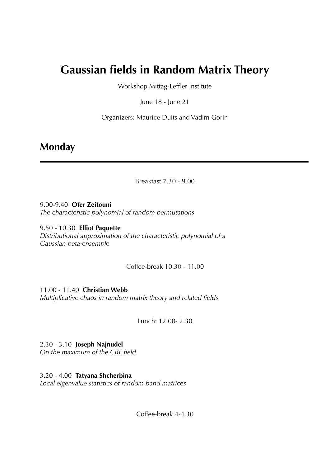# **Gaussian fields in Random Matrix Theory**

Workshop Mittag-Leffler Institute

June 18 - June 21

Organizers: Maurice Duits and Vadim Gorin

#### **Monday**

Breakfast 7.30 - 9.00

9.00-9.40 **Ofer Zeitouni**  *The characteristic polynomial of random permutations* 

9.50 - 10.30 **Elliot Paquette**  *Distributional approximation of the characteristic polynomial of a Gaussian beta-ensemble* 

Coffee-break 10.30 - 11.00

11.00 - 11.40 **Christian Webb**  *Multiplicative chaos in random matrix theory and related fields* 

Lunch: 12.00- 2.30

2.30 - 3.10 **Joseph Najnudel**  *On the maximum of the CBE field* 

3.20 - 4.00 **Tatyana Shcherbina**  *Local eigenvalue statistics of random band matrices* 

Coffee-break 4-4.30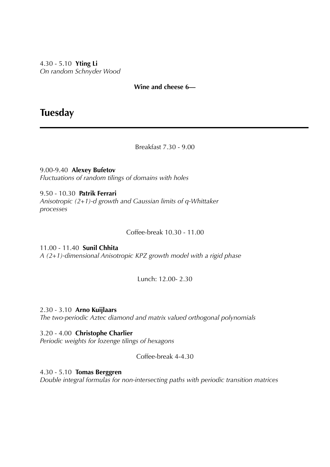4.30 - 5.10 **Yting Li**  *On random Schnyder Wood* 

**Wine and cheese 6—** 

### **Tuesday**

Breakfast 7.30 - 9.00

9.00-9.40 **Alexey Bufetov**  *Fluctuations of random tilings of domains with holes* 

9.50 - 10.30 **Patrik Ferrari**  *Anisotropic (2+1)-d growth and Gaussian limits of q-Whittaker processes* 

Coffee-break 10.30 - 11.00

11.00 - 11.40 **Sunil Chhita** *A (2+1)-dimensional Anisotropic KPZ growth model with a rigid phase* 

Lunch: 12.00- 2.30

2.30 - 3.10 **Arno Kuijlaars**  *The two-periodic Aztec diamond and matrix valued orthogonal polynomials* 

3.20 - 4.00 **Christophe Charlier**  *Periodic weights for lozenge tilings of hexagons* 

Coffee-break 4-4.30

4.30 - 5.10 **Tomas Berggren**  *Double integral formulas for non-intersecting paths with periodic transition matrices*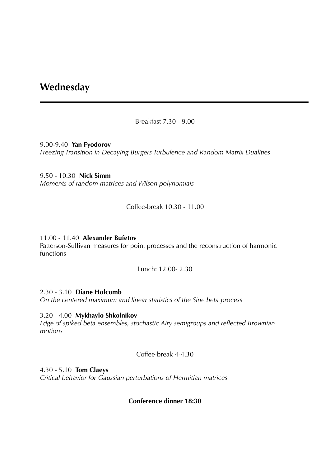#### **Wednesday**

Breakfast 7.30 - 9.00

9.00-9.40 **Yan Fyodorov** *Freezing Transition in Decaying Burgers Turbulence and Random Matrix Dualities* 

9.50 - 10.30 **Nick Simm**  *Moments of random matrices and Wilson polynomials* 

Coffee-break 10.30 - 11.00

11.00 - 11.40 **Alexander Bufetov**  Patterson-Sullivan measures for point processes and the reconstruction of harmonic functions

Lunch: 12.00- 2.30

2.30 - 3.10 **Diane Holcomb**  *On the centered maximum and linear statistics of the Sine beta process* 

3.20 - 4.00 **Mykhaylo Shkolnikov**  *Edge of spiked beta ensembles, stochastic Airy semigroups and reflected Brownian motions* 

Coffee-break 4-4.30

4.30 - 5.10 **Tom Claeys**  *Critical behavior for Gaussian perturbations of Hermitian matrices* 

**Conference dinner 18:30**